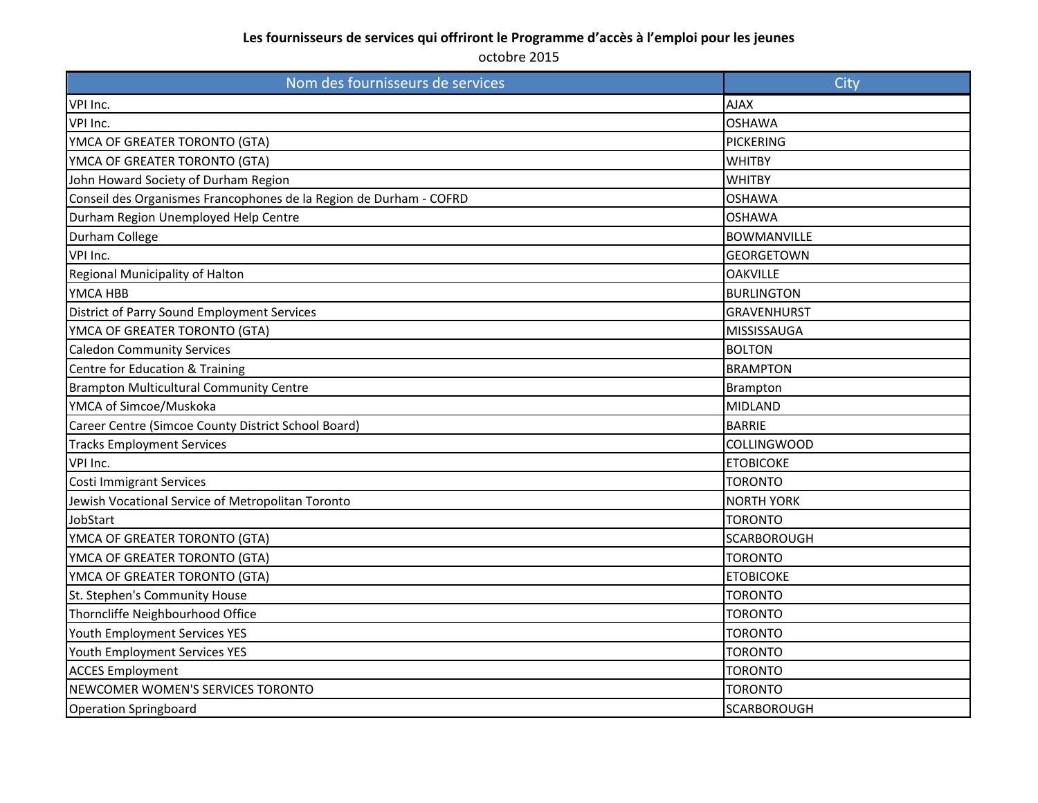| Nom des fournisseurs de services                                   | City               |
|--------------------------------------------------------------------|--------------------|
| VPI Inc.                                                           | <b>AJAX</b>        |
| VPI Inc.                                                           | <b>OSHAWA</b>      |
| YMCA OF GREATER TORONTO (GTA)                                      | <b>PICKERING</b>   |
| YMCA OF GREATER TORONTO (GTA)                                      | <b>WHITBY</b>      |
| John Howard Society of Durham Region                               | <b>WHITBY</b>      |
| Conseil des Organismes Francophones de la Region de Durham - COFRD | <b>OSHAWA</b>      |
| Durham Region Unemployed Help Centre                               | <b>OSHAWA</b>      |
| Durham College                                                     | <b>BOWMANVILLE</b> |
| VPI Inc.                                                           | <b>GEORGETOWN</b>  |
| Regional Municipality of Halton                                    | <b>OAKVILLE</b>    |
| YMCA HBB                                                           | <b>BURLINGTON</b>  |
| District of Parry Sound Employment Services                        | <b>GRAVENHURST</b> |
| YMCA OF GREATER TORONTO (GTA)                                      | MISSISSAUGA        |
| <b>Caledon Community Services</b>                                  | <b>BOLTON</b>      |
| Centre for Education & Training                                    | <b>BRAMPTON</b>    |
| <b>Brampton Multicultural Community Centre</b>                     | Brampton           |
| YMCA of Simcoe/Muskoka                                             | <b>MIDLAND</b>     |
| Career Centre (Simcoe County District School Board)                | <b>BARRIE</b>      |
| <b>Tracks Employment Services</b>                                  | <b>COLLINGWOOD</b> |
| VPI Inc.                                                           | <b>ETOBICOKE</b>   |
| <b>Costi Immigrant Services</b>                                    | <b>TORONTO</b>     |
| Jewish Vocational Service of Metropolitan Toronto                  | <b>NORTH YORK</b>  |
| JobStart                                                           | <b>TORONTO</b>     |
| YMCA OF GREATER TORONTO (GTA)                                      | SCARBOROUGH        |
| YMCA OF GREATER TORONTO (GTA)                                      | <b>TORONTO</b>     |
| YMCA OF GREATER TORONTO (GTA)                                      | <b>ETOBICOKE</b>   |
| St. Stephen's Community House                                      | <b>TORONTO</b>     |
| Thorncliffe Neighbourhood Office                                   | <b>TORONTO</b>     |
| Youth Employment Services YES                                      | <b>TORONTO</b>     |
| Youth Employment Services YES                                      | <b>TORONTO</b>     |
| <b>ACCES Employment</b>                                            | <b>TORONTO</b>     |
| NEWCOMER WOMEN'S SERVICES TORONTO                                  | <b>TORONTO</b>     |
| <b>Operation Springboard</b>                                       | <b>SCARBOROUGH</b> |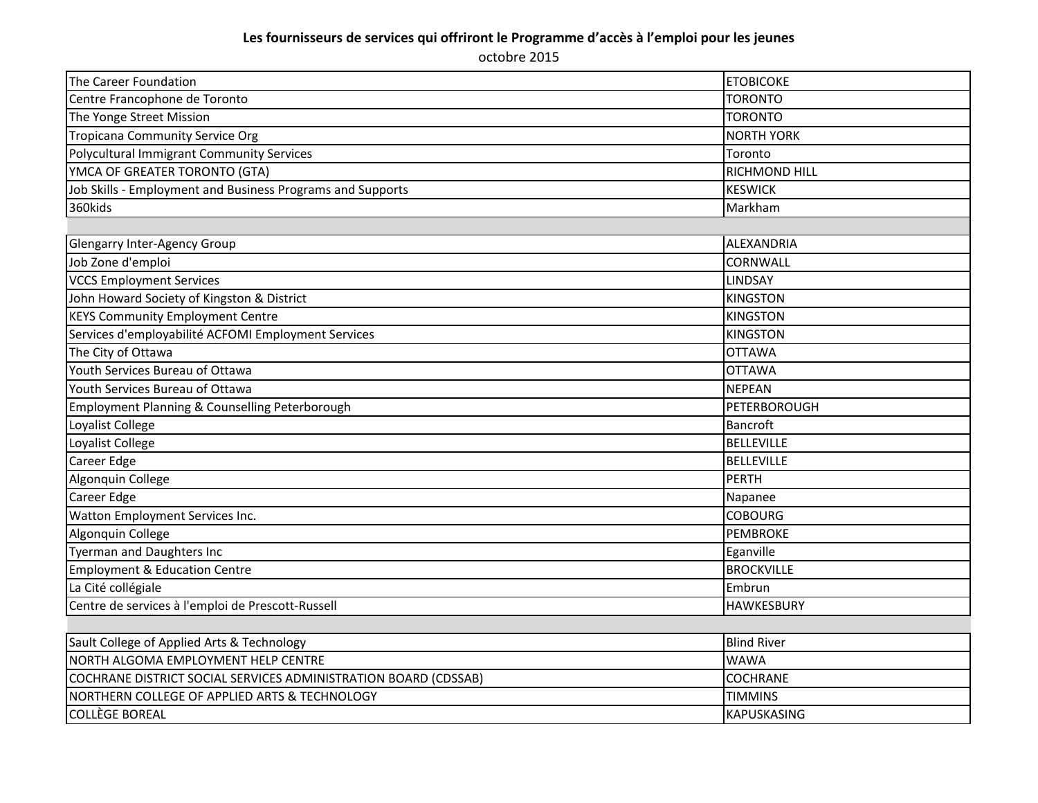| The Career Foundation                                           | <b>ETOBICOKE</b>     |
|-----------------------------------------------------------------|----------------------|
| Centre Francophone de Toronto                                   | <b>TORONTO</b>       |
| The Yonge Street Mission                                        | <b>TORONTO</b>       |
| <b>Tropicana Community Service Org</b>                          | <b>NORTH YORK</b>    |
| Polycultural Immigrant Community Services                       | Toronto              |
| YMCA OF GREATER TORONTO (GTA)                                   | <b>RICHMOND HILL</b> |
| Job Skills - Employment and Business Programs and Supports      | <b>KESWICK</b>       |
| 360kids                                                         | Markham              |
|                                                                 |                      |
| <b>Glengarry Inter-Agency Group</b>                             | ALEXANDRIA           |
| Job Zone d'emploi                                               | CORNWALL             |
| <b>VCCS Employment Services</b>                                 | <b>LINDSAY</b>       |
| John Howard Society of Kingston & District                      | <b>KINGSTON</b>      |
| <b>KEYS Community Employment Centre</b>                         | <b>KINGSTON</b>      |
| Services d'employabilité ACFOMI Employment Services             | <b>KINGSTON</b>      |
| The City of Ottawa                                              | <b>OTTAWA</b>        |
| Youth Services Bureau of Ottawa                                 | <b>OTTAWA</b>        |
| Youth Services Bureau of Ottawa                                 | <b>NEPEAN</b>        |
| Employment Planning & Counselling Peterborough                  | PETERBOROUGH         |
| Loyalist College                                                | Bancroft             |
| Loyalist College                                                | <b>BELLEVILLE</b>    |
| Career Edge                                                     | <b>BELLEVILLE</b>    |
| Algonquin College                                               | PERTH                |
| Career Edge                                                     | Napanee              |
| Watton Employment Services Inc.                                 | <b>COBOURG</b>       |
| Algonquin College                                               | <b>PEMBROKE</b>      |
| <b>Tyerman and Daughters Inc</b>                                | Eganville            |
| <b>Employment &amp; Education Centre</b>                        | <b>BROCKVILLE</b>    |
| La Cité collégiale                                              | Embrun               |
| Centre de services à l'emploi de Prescott-Russell               | <b>HAWKESBURY</b>    |
|                                                                 |                      |
| Sault College of Applied Arts & Technology                      | <b>Blind River</b>   |
| NORTH ALGOMA EMPLOYMENT HELP CENTRE                             | <b>WAWA</b>          |
| COCHRANE DISTRICT SOCIAL SERVICES ADMINISTRATION BOARD (CDSSAB) | <b>COCHRANE</b>      |
| NORTHERN COLLEGE OF APPLIED ARTS & TECHNOLOGY                   | <b>TIMMINS</b>       |
| <b>COLLÈGE BOREAL</b>                                           | <b>KAPUSKASING</b>   |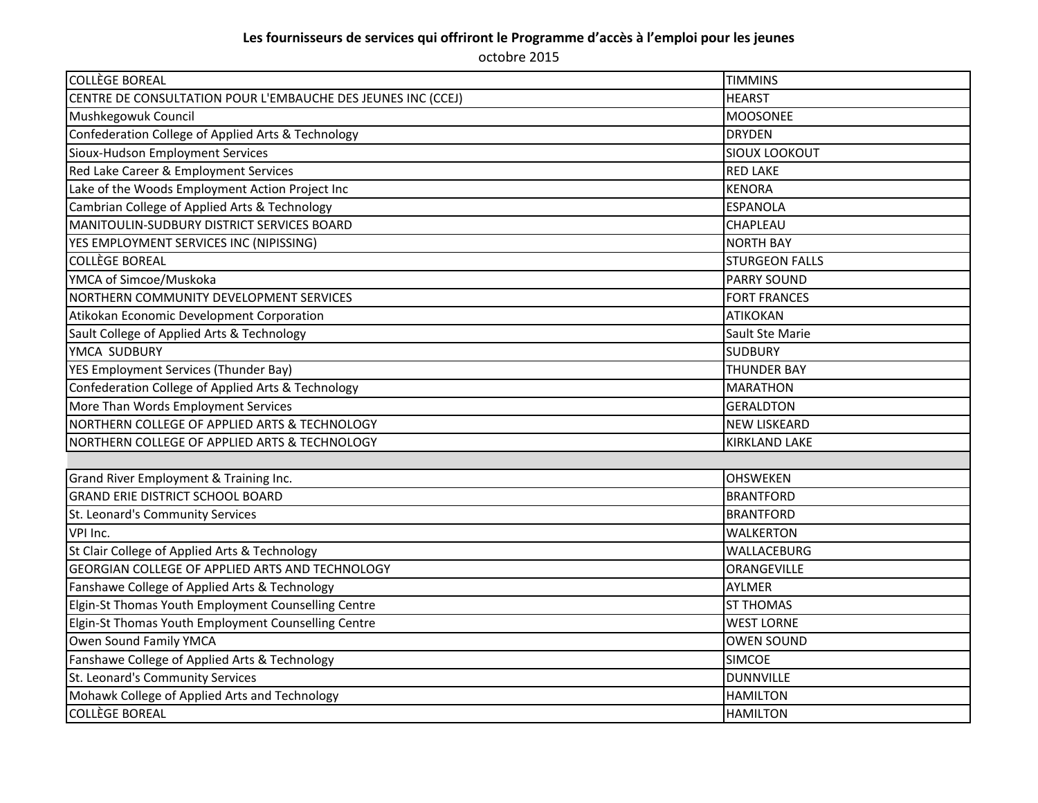| <b>COLLÈGE BOREAL</b>                                        | <b>TIMMINS</b>        |
|--------------------------------------------------------------|-----------------------|
| CENTRE DE CONSULTATION POUR L'EMBAUCHE DES JEUNES INC (CCEJ) | <b>HEARST</b>         |
| Mushkegowuk Council                                          | <b>MOOSONEE</b>       |
| Confederation College of Applied Arts & Technology           | <b>DRYDEN</b>         |
| Sioux-Hudson Employment Services                             | <b>SIOUX LOOKOUT</b>  |
| Red Lake Career & Employment Services                        | <b>RED LAKE</b>       |
| Lake of the Woods Employment Action Project Inc              | <b>KENORA</b>         |
| Cambrian College of Applied Arts & Technology                | <b>ESPANOLA</b>       |
| MANITOULIN-SUDBURY DISTRICT SERVICES BOARD                   | <b>CHAPLEAU</b>       |
| YES EMPLOYMENT SERVICES INC (NIPISSING)                      | <b>NORTH BAY</b>      |
| <b>COLLÈGE BOREAL</b>                                        | <b>STURGEON FALLS</b> |
| YMCA of Simcoe/Muskoka                                       | <b>PARRY SOUND</b>    |
| NORTHERN COMMUNITY DEVELOPMENT SERVICES                      | <b>FORT FRANCES</b>   |
| Atikokan Economic Development Corporation                    | <b>ATIKOKAN</b>       |
| Sault College of Applied Arts & Technology                   | Sault Ste Marie       |
| YMCA SUDBURY                                                 | <b>SUDBURY</b>        |
| YES Employment Services (Thunder Bay)                        | <b>THUNDER BAY</b>    |
| Confederation College of Applied Arts & Technology           | <b>MARATHON</b>       |
| More Than Words Employment Services                          | <b>GERALDTON</b>      |
| NORTHERN COLLEGE OF APPLIED ARTS & TECHNOLOGY                | <b>NEW LISKEARD</b>   |
| NORTHERN COLLEGE OF APPLIED ARTS & TECHNOLOGY                | <b>KIRKLAND LAKE</b>  |
|                                                              |                       |
| Grand River Employment & Training Inc.                       | <b>OHSWEKEN</b>       |
| <b>GRAND ERIE DISTRICT SCHOOL BOARD</b>                      | <b>BRANTFORD</b>      |
| St. Leonard's Community Services                             | <b>BRANTFORD</b>      |
| VPI Inc.                                                     | <b>WALKERTON</b>      |
| St Clair College of Applied Arts & Technology                | WALLACEBURG           |
| <b>GEORGIAN COLLEGE OF APPLIED ARTS AND TECHNOLOGY</b>       | ORANGEVILLE           |
| Fanshawe College of Applied Arts & Technology                | <b>AYLMER</b>         |
| Elgin-St Thomas Youth Employment Counselling Centre          | <b>ST THOMAS</b>      |
| Elgin-St Thomas Youth Employment Counselling Centre          | <b>WEST LORNE</b>     |
| Owen Sound Family YMCA                                       | <b>OWEN SOUND</b>     |
| Fanshawe College of Applied Arts & Technology                | <b>SIMCOE</b>         |
| St. Leonard's Community Services                             | <b>DUNNVILLE</b>      |
| Mohawk College of Applied Arts and Technology                | <b>HAMILTON</b>       |
| <b>COLLÈGE BOREAL</b>                                        | <b>HAMILTON</b>       |